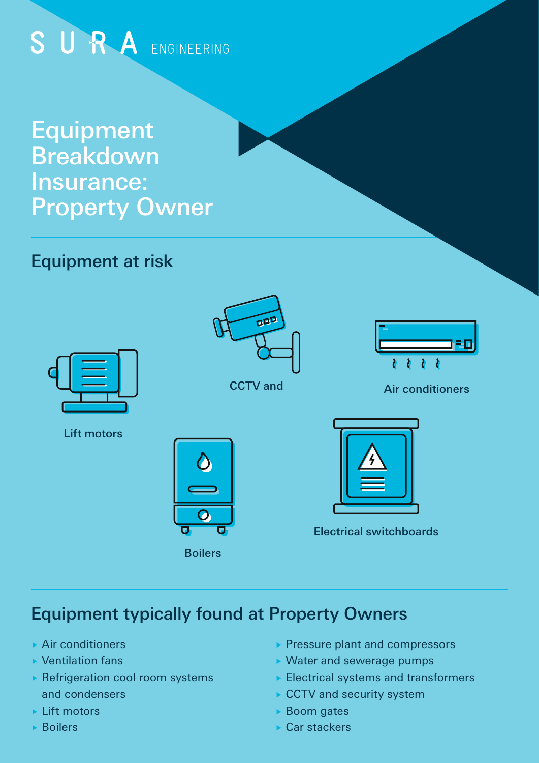# SURA ENGINEERING

## Equipment Breakdown Insurance: Property Owner

## Equipment at risk



Lift motors



#### CCTV and



#### Air conditioners

O Boilers



Electrical switchboards

## Equipment typically found at Property Owners

- Air conditioners
- Ventilation fans
- **Refrigeration cool room systems** and condensers
- ► Lift motors
- Boilers
- Pressure plant and compressors
- Water and sewerage pumps
- $\blacktriangleright$  Electrical systems and transformers
- ► CCTV and security system
- ▶ Boom gates
- Car stackers